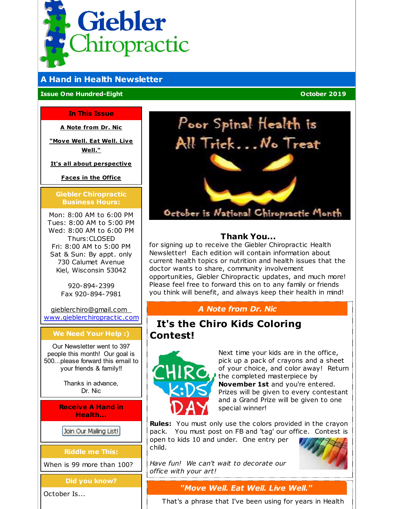<span id="page-0-0"></span>

# **A Hand in Health Newsletter**

**Issue One Hundred-Eight October 2019**

#### **In This Issue**

**A Note [from](#page-0-0) Dr. Nic**

**["Move](#page-0-0) Well. Eat Well. Live Well."**

**It's all about [perspective](#page-0-0)**

**[Faces](#page-0-0) in the Office**

#### **Giebler Chiropractic Business Hours:**

Mon: 8:00 AM to 6:00 PM Tues: 8:00 AM to 5:00 PM Wed: 8:00 AM to 6:00 PM Thurs:CLOSED Fri: 8:00 AM to 5:00 PM Sat & Sun: By appt. only 730 Calumet Avenue Kiel, Wisconsin 53042

> 920-894-2399 Fax 920-894-7981

[gieblerchiro@gmail.com](mailto:gieblerchiro@gmail.com) [www.gieblerchiropractic.com](http://www.gieblerchiropractic.com)

### **We Need Your Help :)**

Our Newsletter went to 397 people this month! Our goal is 500...please forward this email to your friends & family!!

> Thanks in advance, Dr. Nic

**Receive A Hand in Health...**

Join Our Mailing List!

**Riddle me This:**

When is 99 more than 100?

**Did you know?**

October Is...



# **Thank You...**

for signing up to receive the Giebler Chiropractic Health Newsletter! Each edition will contain information about current health topics or nutrition and health issues that the doctor wants to share, community involvement opportunities, Giebler Chiropractic updates, and much more! Please feel free to forward this on to any family or friends you think will benefit, and always keep their health in mind!

# *A Note from Dr. Nic*

# **It's the Chiro Kids Coloring Contest!**



Next time your kids are in the office, pick up a pack of crayons and a sheet of your choice, and color away! Return the completed masterpiece by **November 1st** and you're entered. Prizes will be given to every contestant and a Grand Prize will be given to one special winner!

**Rules:** You must only use the colors provided in the crayon pack. You must post on FB and 'tag' our office. Contest is open to kids 10 and under. One entry per child.

*Have fun! We can't wait to decorate our office with your art!*

# *"Move Well. Eat Well. Live Well."*

That's a phrase that I've been using for years in Health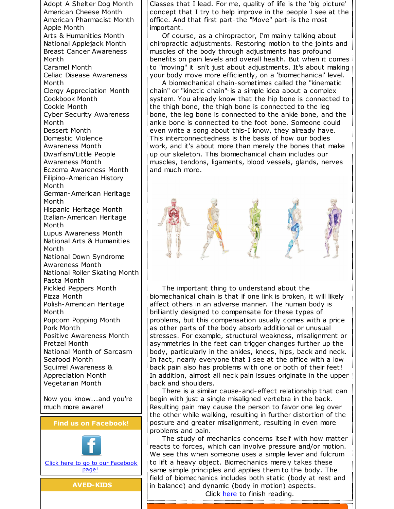Adopt A Shelter Dog Month American Cheese Month American Pharmacist Month Apple Month Arts & Humanities Month National Applejack Month Breast Cancer Awareness Month Caramel Month Celiac Disease Awareness Month Clergy Appreciation Month Cookbook Month Cookie Month Cyber Security Awareness Month Dessert Month Domestic Violence Awareness Month Dwarfism/Little People Awareness Month Eczema Awareness Month Filipino-American History Month German-American Heritage Month Hispanic Heritage Month Italian-American Heritage Month Lupus Awareness Month National Arts & Humanities Month National Down Syndrome Awareness Month National Roller Skating Month Pasta Month Pickled Peppers Month Pizza Month Polish-American Heritage Month Popcorn Popping Month Pork Month Positive Awareness Month Pretzel Month National Month of Sarcasm Seafood Month Squirrel Awareness & Appreciation Month Vegetarian Month

Now you know...and you're much more aware!





Classes that I lead. For me, quality of life is the 'big picture' concept that I try to help improve in the people I see at the office. And that first part-the "Move" part-is the most important.

Of course, as a chiropractor, I'm mainly talking about chiropractic adjustments. Restoring motion to the joints and muscles of the body through adjustments has profound benefits on pain levels and overall health. But when it comes to "moving" it isn't just about adjustments. It's about making your body move more efficiently, on a 'biomechanical' level.

A biomechanical chain-sometimes called the "kinematic chain" or "kinetic chain"-is a simple idea about a complex system. You already know that the hip bone is connected to the thigh bone, the thigh bone is connected to the leg bone, the leg bone is connected to the ankle bone, and the ankle bone is connected to the foot bone. Someone could even write a song about this-I know, they already have. This interconnectedness is the basis of how our bodies work, and it's about more than merely the bones that make up our skeleton. This biomechanical chain includes our muscles, tendons, ligaments, blood vessels, glands, nerves and much more.

The important thing to understand about the biomechanical chain is that if one link is broken, it will likely affect others in an adverse manner. The human body is brilliantly designed to compensate for these types of problems, but this compensation usually comes with a price as other parts of the body absorb additional or unusual stresses. For example, structural weakness, misalignment or asymmetries in the feet can trigger changes further up the body, particularly in the ankles, knees, hips, back and neck. In fact, nearly everyone that I see at the office with a low back pain also has problems with one or both of their feet! In addition, almost all neck pain issues originate in the upper back and shoulders.

There is a similar cause-and-effect relationship that can begin with just a single misaligned vertebra in the back. Resulting pain may cause the person to favor one leg over the other while walking, resulting in further distortion of the posture and greater misalignment, resulting in even more problems and pain.

The study of mechanics concerns itself with how matter reacts to forces, which can involve pressure and/or motion. We see this when someone uses a simple lever and fulcrum to lift a heavy object. Biomechanics merely takes these same simple principles and applies them to the body. The field of biomechanics includes both static (body at rest and in balance) and dynamic (body in motion) aspects. Click [here](https://gieblerchiropractic.blogspot.com/2019/09/move-well-eat-well-live-well.html) to finish reading.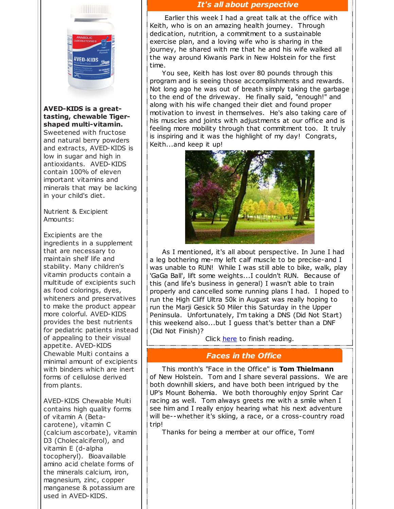

#### **AVED-KIDS is a greattasting, chewable Tigershaped multi-vitamin.**

Sweetened with fructose and natural berry powders and extracts, AVED-KIDS is low in sugar and high in antioxidants. AVED-KIDS contain 100% of eleven important vitamins and minerals that may be lacking in your child's diet.

Nutrient & Excipient Amounts:

Excipients are the ingredients in a supplement that are necessary to maintain shelf life and stability. Many children's vitamin products contain a multitude of excipients such as food colorings, dyes, whiteners and preservatives to make the product appear more colorful. AVED-KIDS provides the best nutrients for pediatric patients instead of appealing to their visual appetite. AVED-KIDS Chewable Multi contains a minimal amount of excipients with binders which are inert forms of cellulose derived from plants.

AVED-KIDS Chewable Multi contains high quality forms of vitamin A (Betacarotene), vitamin C (calcium ascorbate), vitamin D3 (Cholecalciferol), and vitamin E (d-alpha tocopheryl). Bioavailable amino acid chelate forms of the minerals calcium, iron, magnesium, zinc, copper manganese & potassium are used in AVED-KIDS.

# *It's all about perspective*

Earlier this week I had a great talk at the office with Keith, who is on an amazing health journey. Through dedication, nutrition, a commitment to a sustainable exercise plan, and a loving wife who is sharing in the journey, he shared with me that he and his wife walked all the way around Kiwanis Park in New Holstein for the first time.

You see, Keith has lost over 80 pounds through this program and is seeing those accomplishments and rewards. Not long ago he was out of breath simply taking the garbage to the end of the driveway. He finally said, "enough!" and along with his wife changed their diet and found proper motivation to invest in themselves. He's also taking care of his muscles and joints with adjustments at our office and is feeling more mobility through that commitment too. It truly is inspiring and it was the highlight of my day! Congrats, Keith...and keep it up!



As I mentioned, it's all about perspective. In June I had a leg bothering me-my left calf muscle to be precise-and I was unable to RUN! While I was still able to bike, walk, play 'GaGa Ball', lift some weights...I couldn't RUN. Because of this (and life's business in general) I wasn't able to train properly and cancelled some running plans I had. I hoped to run the High Cliff Ultra 50k in August was really hoping to run the Marji Gesick 50 Miler this Saturday in the Upper Peninsula. Unfortunately, I'm taking a DNS (Did Not Start) this weekend also...but I guess that's better than a DNF (Did Not Finish)?

Click [here](https://gieblerchiropractic.blogspot.com/2019/09/its-all-about-perspective.html) to finish reading.

# *Faces in the Office*

This month's "Face in the Office" is **Tom Thielmann** of New Holstein. Tom and I share several passions. We are both downhill skiers, and have both been intrigued by the UP's Mount Bohemia. We both thoroughly enjoy Sprint Car racing as well. Tom always greets me with a smile when I see him and I really enjoy hearing what his next adventure will be--whether it's skiing, a race, or a cross-country road trip!

Thanks for being a member at our office, Tom!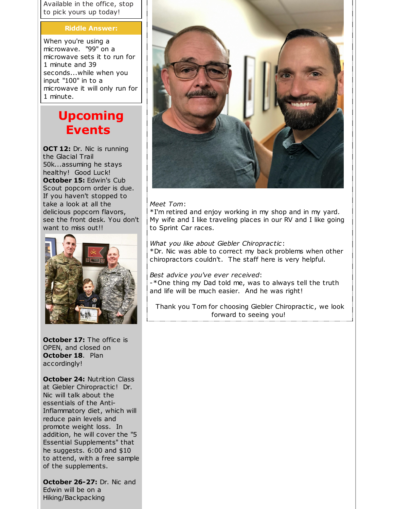Available in the office, stop to pick yours up today!

#### **Riddle Answer:**

When you're using a microwave. "99" on a microwave sets it to run for 1 minute and 39 seconds...while when you input "100" in to a microwave it will only run for 1 minute.

# **Upcoming Events**

**OCT 12:** Dr. Nic is running the Glacial Trail 50k...assuming he stays healthy! Good Luck! **October 15:** Edwin's Cub Scout popcorn order is due. If you haven't stopped to take a look at all the delicious popcorn flavors, see the front desk. You don't want to miss out!!



**October 17:** The office is OPEN, and closed on **October 18**. Plan accordingly!

**October 24:** Nutrition Class at Giebler Chiropractic! Dr. Nic will talk about the essentials of the Anti-Inflammatory diet, which will reduce pain levels and promote weight loss. In addition, he will cover the "5 Essential Supplements" that he suggests. 6:00 and \$10 to attend, with a free sample of the supplements.

**October 26-27:** Dr. Nic and Edwin will be on a Hiking/Backpacking



#### *Meet Tom*:

\*I'm retired and enjoy working in my shop and in my yard. My wife and I like traveling places in our RV and I like going to Sprint Car races.

#### *What you like about Giebler Chiropractic*:

\*Dr. Nic was able to correct my back problems when other chiropractors couldn't. The staff here is very helpful.

#### *Best advice you've ever received*:

-\*One thing my Dad told me, was to always tell the truth and life will be much easier. And he was right!

Thank you Tom for choosing Giebler Chiropractic, we look forward to seeing you!